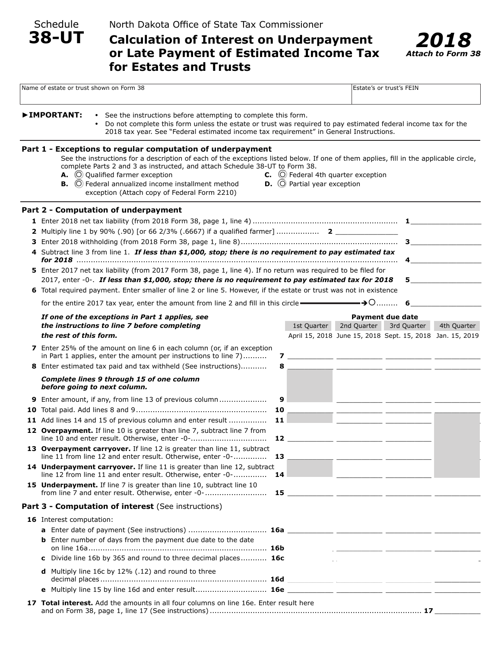Schedule

**38-UT**

# **Calculation of Interest on Underpayment or Late Payment of Estimated Income Tax for Estates and Trusts**



| Name of estate or trust shown on Form 38 |                                                                                                   |                                                                                                                                                                                                                                                                                                                                                                                                                                                     |    |                                                                                                                                                                                                         |                                            | Estate's or trust's FEIN                                                                                               |             |  |
|------------------------------------------|---------------------------------------------------------------------------------------------------|-----------------------------------------------------------------------------------------------------------------------------------------------------------------------------------------------------------------------------------------------------------------------------------------------------------------------------------------------------------------------------------------------------------------------------------------------------|----|---------------------------------------------------------------------------------------------------------------------------------------------------------------------------------------------------------|--------------------------------------------|------------------------------------------------------------------------------------------------------------------------|-------------|--|
|                                          | ▶IMPORTANT:                                                                                       | • See the instructions before attempting to complete this form.                                                                                                                                                                                                                                                                                                                                                                                     |    | Do not complete this form unless the estate or trust was required to pay estimated federal income tax for the<br>2018 tax year. See "Federal estimated income tax requirement" in General Instructions. |                                            |                                                                                                                        |             |  |
|                                          |                                                                                                   | Part 1 - Exceptions to regular computation of underpayment<br>See the instructions for a description of each of the exceptions listed below. If one of them applies, fill in the applicable circle,<br>complete Parts 2 and 3 as instructed, and attach Schedule 38-UT to Form 38.<br>A. O Qualified farmer exception<br><b>B.</b> $\bigcirc$ Federal annualized income installment method<br>exception (Attach copy of Federal Form 2210)          |    | <b>D.</b> $\bigcirc$ Partial year exception                                                                                                                                                             | $C.$ $\odot$ Federal 4th quarter exception |                                                                                                                        |             |  |
|                                          |                                                                                                   | Part 2 - Computation of underpayment                                                                                                                                                                                                                                                                                                                                                                                                                |    |                                                                                                                                                                                                         |                                            |                                                                                                                        |             |  |
|                                          |                                                                                                   | 4 Subtract line 3 from line 1. If less than \$1,000, stop; there is no requirement to pay estimated tax<br>5 Enter 2017 net tax liability (from 2017 Form 38, page 1, line 4). If no return was required to be filed for<br>2017, enter -0-. If less than \$1,000, stop; there is no requirement to pay estimated tax for 2018<br>6 Total required payment. Enter smaller of line 2 or line 5. However, if the estate or trust was not in existence |    |                                                                                                                                                                                                         |                                            | 4                                                                                                                      | $5 - 5$     |  |
|                                          | –→○………<br>for the entire 2017 tax year, enter the amount from line 2 and fill in this circle<br>6 |                                                                                                                                                                                                                                                                                                                                                                                                                                                     |    |                                                                                                                                                                                                         |                                            |                                                                                                                        |             |  |
|                                          | the rest of this form.                                                                            | If one of the exceptions in Part 1 applies, see<br>the instructions to line 7 before completing                                                                                                                                                                                                                                                                                                                                                     |    | 1st Quarter                                                                                                                                                                                             | 2nd Quarter                                | <b>Payment due date</b><br>3rd Quarter<br>April 15, 2018 June 15, 2018 Sept. 15, 2018 Jan. 15, 2019                    | 4th Quarter |  |
|                                          |                                                                                                   | <b>7</b> Enter 25% of the amount on line 6 in each column (or, if an exception<br>in Part 1 applies, enter the amount per instructions to line 7)                                                                                                                                                                                                                                                                                                   |    |                                                                                                                                                                                                         |                                            |                                                                                                                        |             |  |
|                                          |                                                                                                   | 8 Enter estimated tax paid and tax withheld (See instructions)                                                                                                                                                                                                                                                                                                                                                                                      | 8  |                                                                                                                                                                                                         |                                            | <u> 1999 - Johann John Harry Harry Harry Harry Harry Harry Harry Harry Harry Harry Harry Harry Harry Harry Harry H</u> |             |  |
|                                          | before going to next column.                                                                      | Complete lines 9 through 15 of one column                                                                                                                                                                                                                                                                                                                                                                                                           |    |                                                                                                                                                                                                         |                                            |                                                                                                                        |             |  |
|                                          |                                                                                                   | 9 Enter amount, if any, from line 13 of previous column                                                                                                                                                                                                                                                                                                                                                                                             | 9  |                                                                                                                                                                                                         |                                            |                                                                                                                        |             |  |
|                                          |                                                                                                   |                                                                                                                                                                                                                                                                                                                                                                                                                                                     | 10 |                                                                                                                                                                                                         |                                            |                                                                                                                        |             |  |
|                                          |                                                                                                   | 11 Add lines 14 and 15 of previous column and enter result                                                                                                                                                                                                                                                                                                                                                                                          | 11 |                                                                                                                                                                                                         |                                            |                                                                                                                        |             |  |
|                                          |                                                                                                   | 12 Overpayment. If line 10 is greater than line 7, subtract line 7 from<br>line 10 and enter result. Otherwise, enter -0-                                                                                                                                                                                                                                                                                                                           | 12 |                                                                                                                                                                                                         |                                            |                                                                                                                        |             |  |
|                                          |                                                                                                   | 13 Overpayment carryover. If line 12 is greater than line 11, subtract<br>line 11 from line 12 and enter result. Otherwise, enter -0-                                                                                                                                                                                                                                                                                                               | 13 |                                                                                                                                                                                                         |                                            |                                                                                                                        |             |  |
|                                          |                                                                                                   | 14 Underpayment carryover. If line 11 is greater than line 12, subtract<br>line 12 from line 11 and enter result. Otherwise, enter -0-                                                                                                                                                                                                                                                                                                              | 14 |                                                                                                                                                                                                         |                                            |                                                                                                                        |             |  |
|                                          |                                                                                                   | 15 Underpayment. If line 7 is greater than line 10, subtract line 10                                                                                                                                                                                                                                                                                                                                                                                |    |                                                                                                                                                                                                         |                                            |                                                                                                                        |             |  |
|                                          |                                                                                                   | Part 3 - Computation of interest (See instructions)                                                                                                                                                                                                                                                                                                                                                                                                 |    |                                                                                                                                                                                                         |                                            |                                                                                                                        |             |  |
|                                          | 16 Interest computation:                                                                          |                                                                                                                                                                                                                                                                                                                                                                                                                                                     |    |                                                                                                                                                                                                         |                                            |                                                                                                                        |             |  |
|                                          |                                                                                                   |                                                                                                                                                                                                                                                                                                                                                                                                                                                     |    |                                                                                                                                                                                                         |                                            |                                                                                                                        |             |  |
|                                          |                                                                                                   | <b>b</b> Enter number of days from the payment due date to the date                                                                                                                                                                                                                                                                                                                                                                                 |    |                                                                                                                                                                                                         |                                            |                                                                                                                        |             |  |
|                                          | c                                                                                                 | Divide line 16b by 365 and round to three decimal places 16c                                                                                                                                                                                                                                                                                                                                                                                        |    |                                                                                                                                                                                                         |                                            |                                                                                                                        |             |  |
|                                          |                                                                                                   | <b>d</b> Multiply line 16c by $12\%$ (.12) and round to three                                                                                                                                                                                                                                                                                                                                                                                       |    |                                                                                                                                                                                                         |                                            |                                                                                                                        |             |  |
|                                          |                                                                                                   |                                                                                                                                                                                                                                                                                                                                                                                                                                                     |    |                                                                                                                                                                                                         |                                            |                                                                                                                        |             |  |